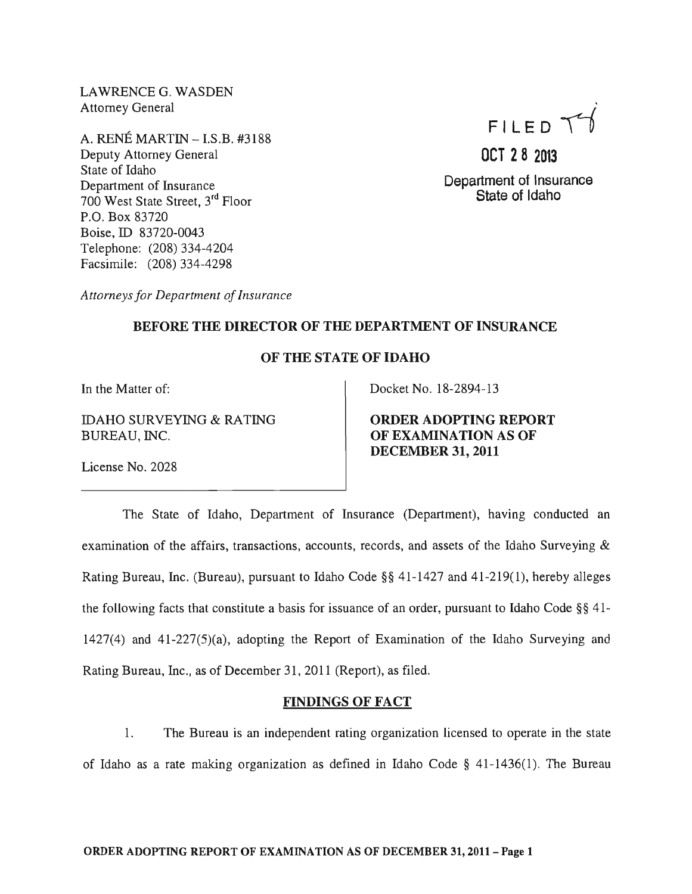. LAWRENCE G. WASDEN Attorney General

A. RENE MARTIN -I.S.B. #3188 Deputy Attorney General State of Idaho Department of Insurance 700 West State Street, 3rd Floor P.O. Box 83720 Boise, ID 83720-0043 Telephone: (208) 334-4204 Facsimile: (208) 334-4298

FILED  $T$ 

**OCT 28 2013**  Department of Insurance State of Idaho

*Attorneys for Department of Insurance* 

#### BEFORE THE DIRECTOR OF THE DEPARTMENT OF INSURANCE

## OF THE STATE OF IDAHO

In the Matter of:

IDAHO SURVEYING & RATING BUREAU, INC.

License No. 2028

Docket No. 18-2894-13

ORDER ADOPTING REPORT OF EXAMINATION AS OF DECEMBER 31, 2011

The State of Idaho, Department of Insurance (Department), having conducted an examination of the affairs, transactions, accounts, records, and assets of the Idaho Surveying & Rating Bureau, Inc. (Bureau), pursuant to Idaho Code §§ 41-1427 and 41-219(1), hereby alleges the following facts that constitute a basis for issuance of an order, pursuant to Idaho Code §§ 41- 1427(4) and 41-227(5)(a), adopting the Report of Examination of the Idaho Surveying and Rating Bureau, Inc., as of December 31, 2011 (Report), as filed.

#### FINDINGS OF FACT

1. The Bureau is an independent rating organization licensed to operate in the state of Idaho as a rate making organization as defined in Idaho Code  $\S$  41-1436(1). The Bureau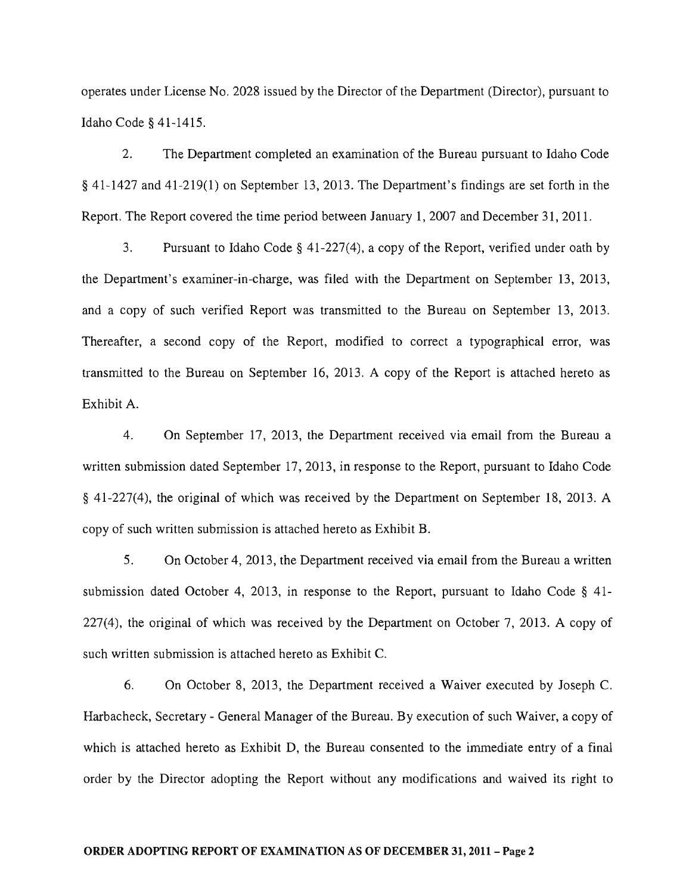operates under License No. 2028 issued by the Director of the Department (Director), pursuant to Idaho Code § 41-1415.

2. The Department completed an examination of the Bureau pursuant to Idaho Code § 41-1427 and 41-219(1) on September 13, 2013. The Department's findings are set forth in the Report. The Report covered the time period between January 1, 2007 and December 31, 2011.

3. Pursuant to Idaho Code  $\S$  41-227(4), a copy of the Report, verified under oath by the Department's examiner-in-charge, was filed with the Department on September 13, 2013, and a copy of such verified Report was transmitted to the Bureau on September 13, 2013. Thereafter, a second copy of the Report, modified to correct a typographical error, was transmitted to the Bureau on September 16, 2013. A copy of the Report is attached hereto as Exhibit A.

4. On September 17, 2013, the Department received via email from the Bureau a written submission dated September 17, 2013, in response to the Report, pursuant to Idaho Code § 41-227(4), the original of which was received by the Department on September 18, 2013. A copy of such written submission is attached hereto as Exhibit B.

5. On October 4, 2013, the Department received via email from the Bureau a written submission dated October 4, 2013, in response to the Report, pursuant to Idaho Code § 41- 227(4), the original of which was received by the Department on October 7, 2013. A copy of such written submission is attached hereto as Exhibit C.

6. On October 8, 2013, the Department received a Waiver executed by Joseph C. Harbacheck, Secretary - General Manager of the Bureau. By execution of such Waiver, a copy of which is attached hereto as Exhibit D, the Bureau consented to the immediate entry of a final order by the Director adopting the Report without any modifications and waived its right to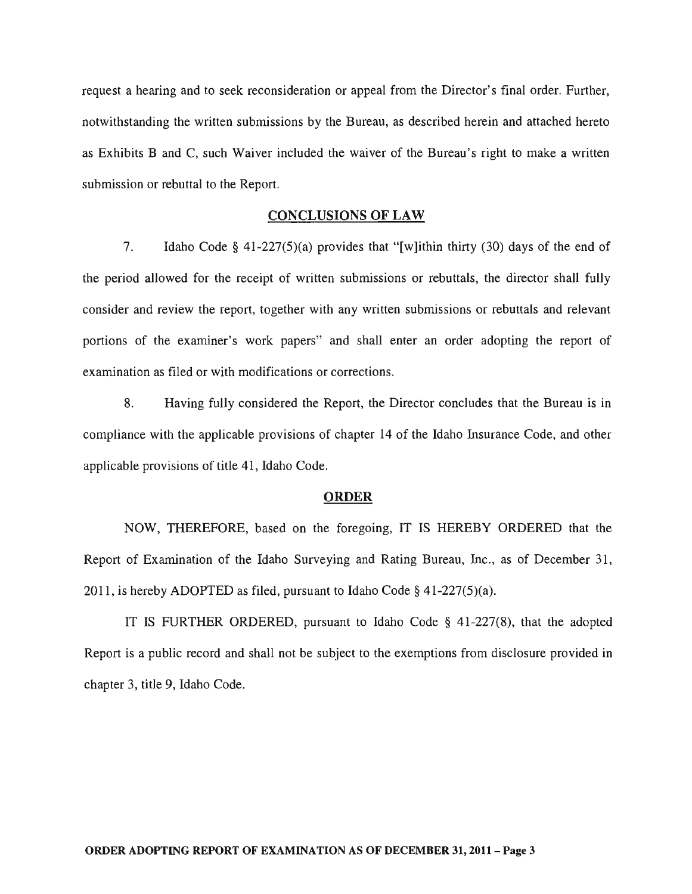request a hearing and to seek reconsideration or appeal from the Director's final order. Further, notwithstanding the written submissions by the Bureau, as described herein and attached hereto as Exhibits Band C, such Waiver included the waiver of the Bureau's right to make a written submission or rebuttal to the Report.

#### CONCLUSIONS OF LAW

7. Idaho Code § 41-227(5)(a) provides that "[w]ithin thirty (30) days of the end of the period allowed for the receipt of written submissions or rebuttals, the director shall fully consider and review the report, together with any written submissions or rebuttals and relevant portions of the examiner's work papers" and shall enter an order adopting the report of examination as filed or with modifications or corrections.

8. Having fully considered the Report, the Director concludes that the Bureau is in compliance with the applicable provisions of chapter 14 of the Idaho Insurance Code, and other applicable provisions of title 41, Idaho Code.

#### ORDER

NOW, THEREFORE, based on the foregoing, IT IS HEREBY ORDERED that the Report of Examination of the Idaho Surveying and Rating Bureau, Inc., as of December 31, 2011, is hereby ADOPTED as filed, pursuant to Idaho Code § 41-227(5)(a).

IT IS FURTHER ORDERED, pursuant to Idaho Code § 41-227(8), that the adopted Report is a public record and shall not be subject to the exemptions from disclosure provided in chapter 3, title 9, Idaho Code.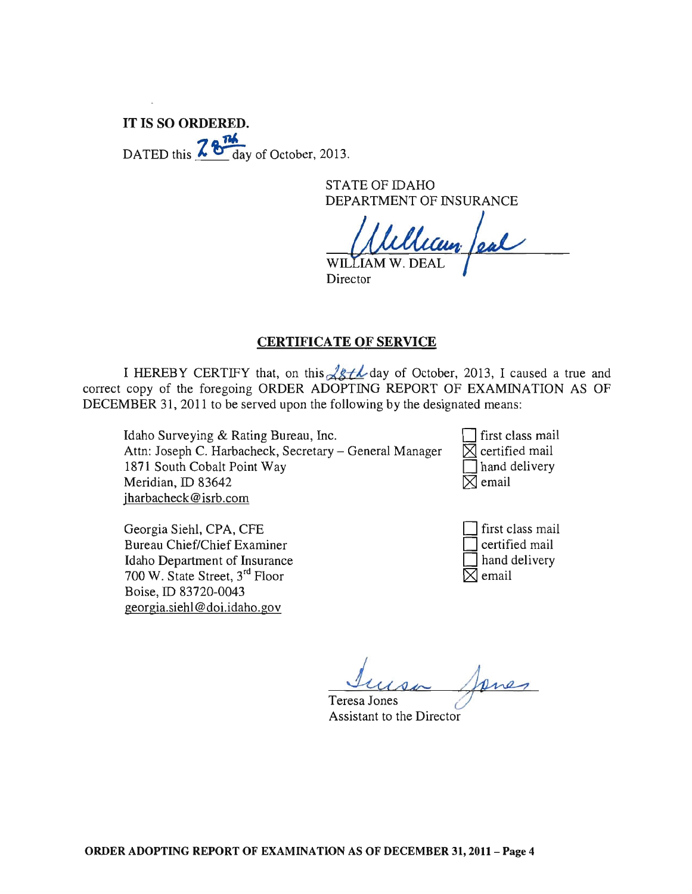# IT IS SO ORDERED. DATED this  $\frac{764}{100}$  day of October, 2013.

STATE OF IDAHO DEPARTMENT OF INSURANCE

WILLIAM W. DEAL

Director

## CERTIFICATE OF SERVICE

I HEREBY CERTIFY that, on this  $\sqrt{g}$   $\neq$  day of October, 2013, I caused a true and correct copy of the foregoing ORDER ADOPTING REPORT OF EXAMINATION AS OF DECEMBER 31, 2011 to be served upon the following by the designated means:

Idaho Surveying & Rating Bureau, Inc. Attn: Joseph C. Harbacheck, Secretary - General Manager 1871 South Cobalt Point Way Meridian, ID 83642 jharbacheck@isrb.com

D first class mail  $\times$  certified mail  $\Box$  hand delivery  $\boxtimes$  email

| Georgia Siehl, CPA, CFE                    |
|--------------------------------------------|
| Bureau Chief/Chief Examiner                |
| Idaho Department of Insurance              |
| 700 W. State Street, 3 <sup>rd</sup> Floor |
| Boise, ID 83720-0043                       |
| georgia.siehl@doi.idaho.gov                |

first class mail  $\exists$  certified mail I hand delivery ~ email

Teresa *L* Jones *A #-* Janes

Assistant to the Director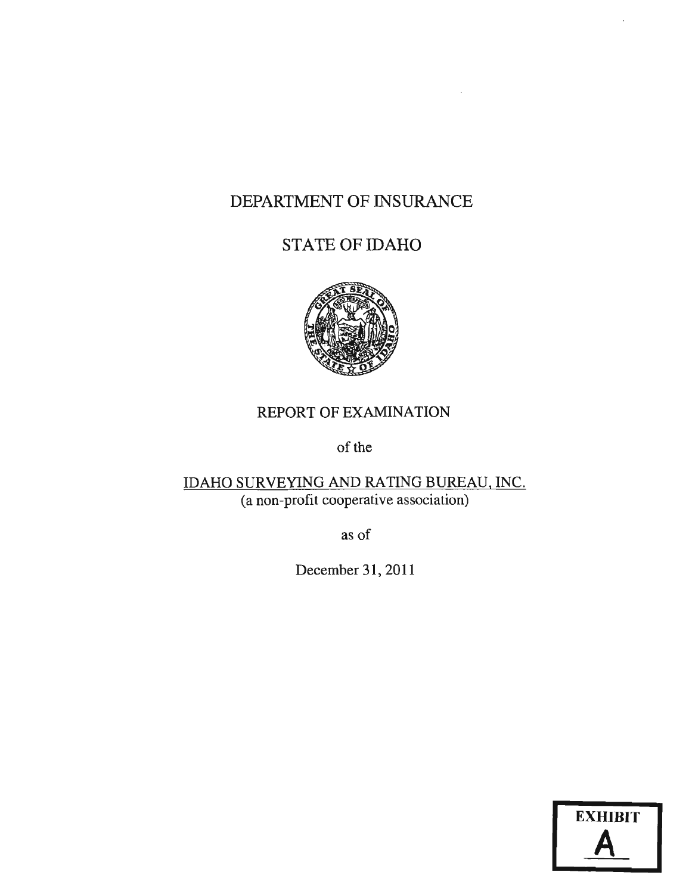# DEPARTMENT OF INSURANCE

# STATE OF IDAHO



# REPORT OF EXAMINATION

of the

# IDAHO SURVEYING AND RATING BUREAU, INC. (a non-profit cooperative association)

as of

December 31, 2011

| <b>EXHIBIT</b> |  |
|----------------|--|
|                |  |

 $\mathbf{r}$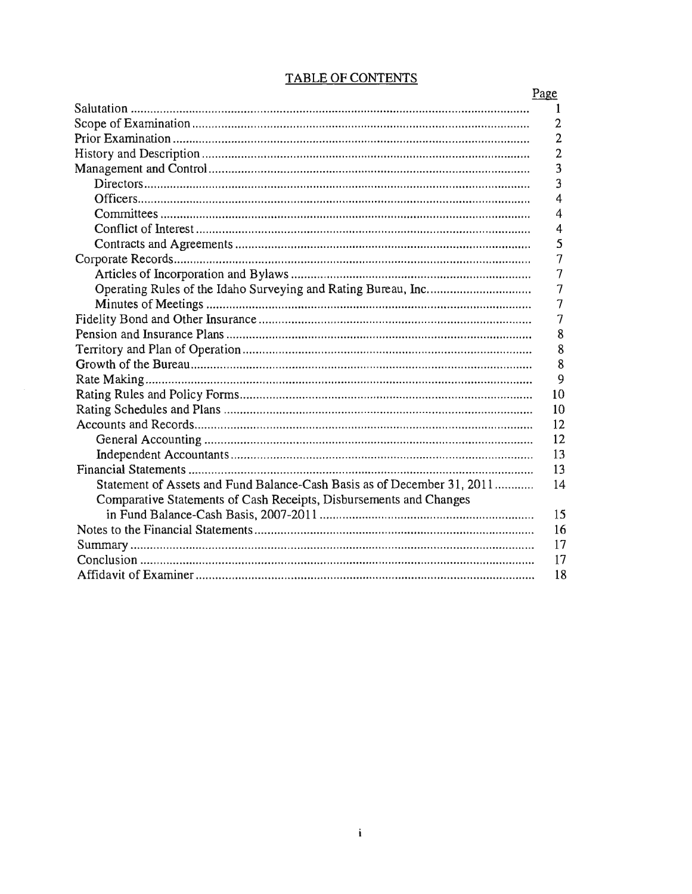|                                                                         | Page           |
|-------------------------------------------------------------------------|----------------|
|                                                                         | 1              |
|                                                                         | 2              |
|                                                                         | $\overline{2}$ |
|                                                                         | $\overline{2}$ |
|                                                                         | 3              |
|                                                                         | 3              |
|                                                                         | $\overline{4}$ |
|                                                                         | 4              |
|                                                                         | 4              |
|                                                                         | 5              |
|                                                                         | $\overline{7}$ |
|                                                                         | 7              |
|                                                                         | 7              |
|                                                                         | 7              |
|                                                                         | 7              |
|                                                                         | 8              |
|                                                                         | 8              |
|                                                                         | 8              |
|                                                                         | 9              |
|                                                                         | 10             |
|                                                                         | 10             |
|                                                                         | 12             |
|                                                                         | 12             |
|                                                                         | 13             |
|                                                                         | 13             |
| Statement of Assets and Fund Balance-Cash Basis as of December 31, 2011 | 14             |
| Comparative Statements of Cash Receipts, Disbursements and Changes      |                |
|                                                                         | 15             |
|                                                                         | 16             |
|                                                                         | 17             |
|                                                                         | 17             |
|                                                                         | 18             |

## **TABLE OF CONTENTS**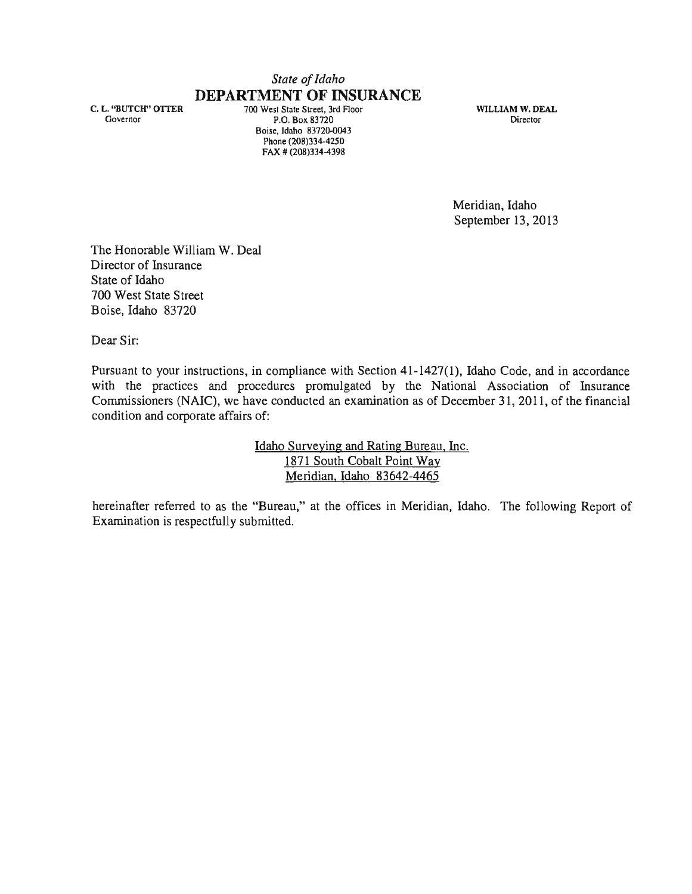# *State of Idaho*  **DEPARTMENT OF INSURANCE**

C. L. "BUTCH" OTtER Governor

700 West State Street, 3rd Floor P.O. Box 83720 Boise, Idaho 83720-0043 Phone (208)334-4250 FAX # (208)334-4398

WILLIAM W. DEAL Director

Meridian, Idaho September 13,2013

The Honorable William W. Deal Director of Insurance State of Idaho 700 West State Street Boise, Idaho 83720

Dear Sir:

Pursuant to your instructions, in compliance with Section 41-1427(1), Idaho Code, and in accordance with the practices and procedures promulgated by the National Association of Insurance Commissioners (NAIC), we have conducted an examination as of December 31, 2011, of the financial condition and corporate affairs of:

> Idaho Surveying and Rating Bureau, Inc. 1871 South Cobalt Point Way Meridian, Idaho 83642-4465

hereinafter referred to as the "Bureau," at the offices in Meridian, Idaho. The following Report of Examination is respectfully submitted.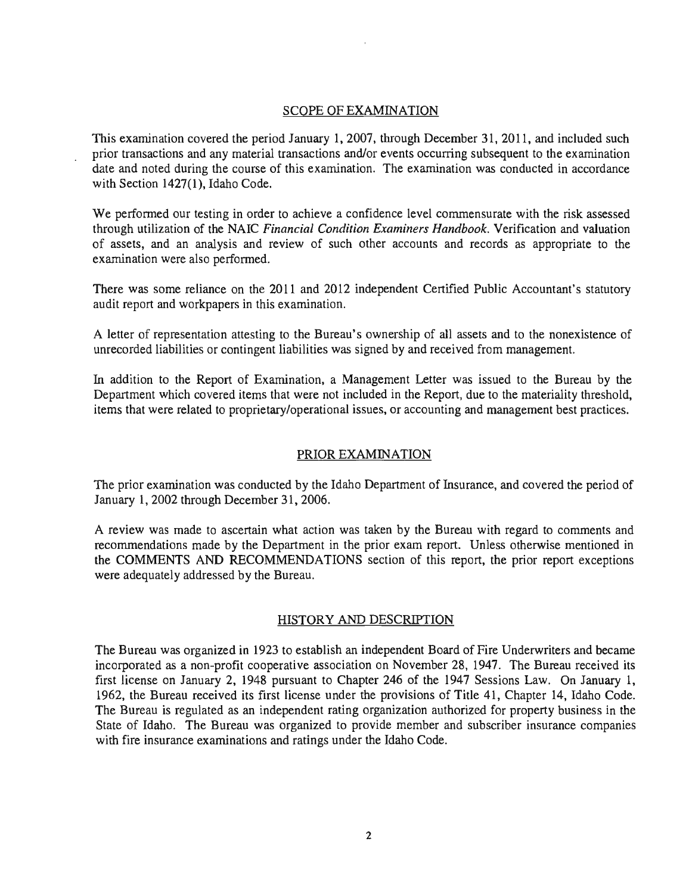#### SCOPE OF EXAMINATION

This examination covered the period January 1,2007, through December 31, 2011, and included such prior transactions and any material transactions and/or events occurring subsequent to the examination date and noted during the course of this examination. The examination was conducted in accordance with Section 1427(1), Idaho Code.

We performed our testing in order to achieve a confidence level commensurate with the risk assessed through utilization of the NAIC *Financial Condition Examiners Handbook.* Verification and valuation of assets, and an analysis and review of such other accounts and records as appropriate to the examination were also performed.

There was some reliance on the 2011 and 2012 independent Certified Public Accountant's statutory audit report and workpapers in this examination.

A letter of representation attesting to the Bureau's ownership of all assets and to the nonexistence of unrecorded liabilities or contingent liabilities was signed by and received from management.

In addition to the Report of Examination, a Management Letter was issued to the Bureau by the Department which covered items that were not included in the Report, due to the materiality threshold, items that were related to proprietary/operational issues, or accounting and management best practices.

#### PRIOR EXAMINATION

The prior examination was conducted by the Idaho Department of Insurance, and covered the period of January 1,2002 through December 31,2006.

A review was made to ascertain what action was taken by the Bureau with regard to comments and recommendations made by the Department in the prior exam report. Unless otherwise mentioned in the COMMENTS AND RECOMMENDATIONS section of this report, the prior report exceptions were adequately addressed by the Bureau.

#### HISTORY AND DESCRIPTION

The Bureau was organized in 1923 to establish an independent Board of Fire Underwriters and became incorporated as a non-profit cooperative association on November 28, 1947. The Bureau received its first license on January 2, 1948 pursuant to Chapter 246 of the 1947 Sessions Law. On January 1, 1962, the Bureau received its first license under the provisions of Title 41, Chapter 14, Idaho Code. The Bureau is regulated as an independent rating organization authorized for property business in the State of Idaho. The Bureau was organized to provide member and subscriber insurance companies with fire insurance examinations and ratings under the Idaho Code.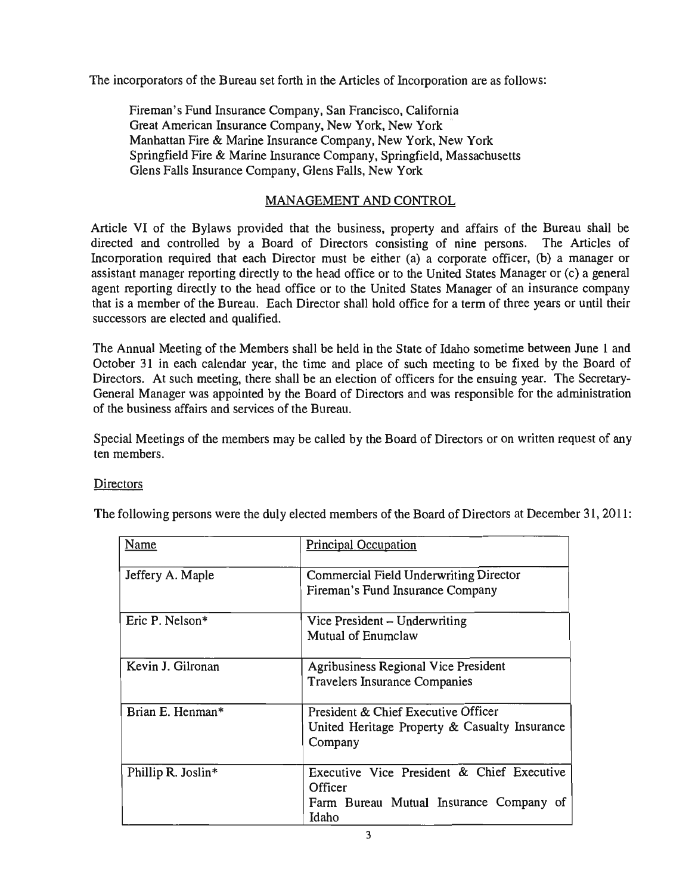The incorporators of the Bureau set forth in the Articles of Incorporation are as follows:

Fireman's Fund Insurance Company, San Francisco, California Great American Insurance Company, New York, New York · Manhattan Fire & Marine Insurance Company, New York, New York Springfield Fire & Marine Insurance Company, Springfield, Massachusetts Glens Falls Insurance Company, Glens Falls, New York

## MANAGEMENT AND CONTROL

Article VI of the Bylaws provided that the business, property and affairs of the Bureau shall be directed and controlled by a Board of Directors consisting of nine persons. The Articles of Incorporation required that each Director must be either (a) a corporate officer, (b) a manager or assistant manager reporting directly to the head office or to the United States Manager or (c) a general agent reporting directly to the head office or to the United States Manager of an insurance company that is a member of the Bureau. Each Director shall hold office for a term of three years or until their successors are elected and qualified.

The Annual Meeting of the Members shall be held in the State of Idaho sometime between June 1 and October 31 in each calendar year, the time and place of such meeting to be fixed by the Board of Directors. At such meeting, there shall be an election of officers for the ensuing year. The Secretary-General Manager was appointed by the Board of Directors and was responsible for the administration of the business affairs and services of the Bureau.

Special Meetings of the members may be called by the Board of Directors or on written request of any ten members.

## **Directors**

The following persons were the duly elected members of the Board of Directors at December 31, 2011:

| <b>Name</b>        | <b>Principal Occupation</b>                                                |
|--------------------|----------------------------------------------------------------------------|
| Jeffery A. Maple   | Commercial Field Underwriting Director<br>Fireman's Fund Insurance Company |
|                    |                                                                            |
| Eric P. Nelson*    | Vice President – Underwriting                                              |
|                    | Mutual of Enumclaw                                                         |
| Kevin J. Gilronan  | Agribusiness Regional Vice President                                       |
|                    | <b>Travelers Insurance Companies</b>                                       |
| Brian E. Henman*   | President & Chief Executive Officer                                        |
|                    | United Heritage Property & Casualty Insurance<br>Company                   |
|                    |                                                                            |
| Phillip R. Joslin* | Executive Vice President & Chief Executive                                 |
|                    | Officer                                                                    |
|                    | Farm Bureau Mutual Insurance Company of                                    |
|                    | Idaho                                                                      |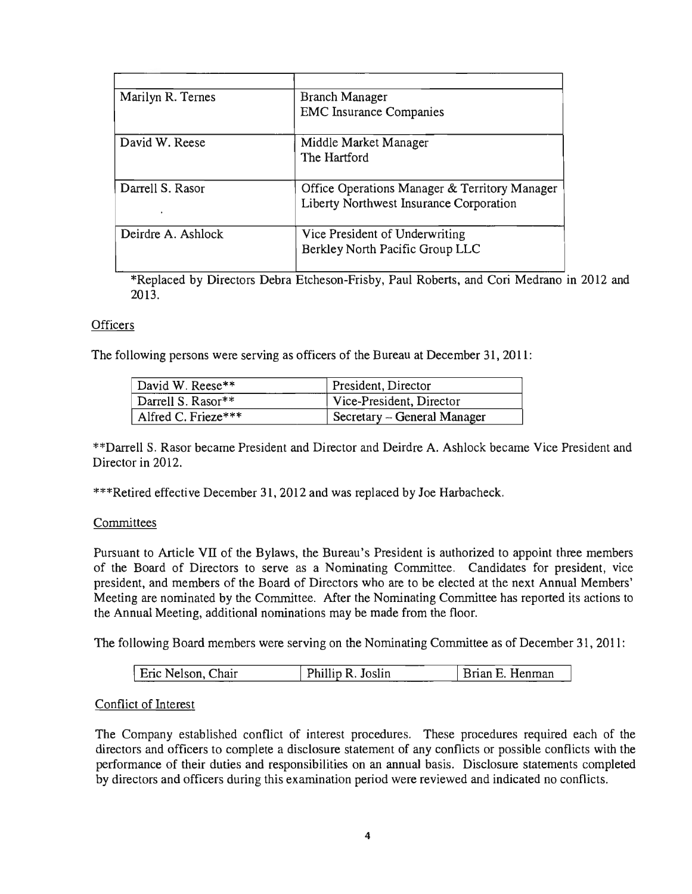| Marilyn R. Ternes  | Branch Manager                                |
|--------------------|-----------------------------------------------|
|                    | <b>EMC</b> Insurance Companies                |
| David W. Reese     | Middle Market Manager                         |
|                    | The Hartford                                  |
| Darrell S. Rasor   | Office Operations Manager & Territory Manager |
|                    | Liberty Northwest Insurance Corporation       |
| Deirdre A. Ashlock | Vice President of Underwriting                |
|                    | Berkley North Pacific Group LLC               |

\*Replaced by Directors Debra Etcheson-Frisby, Paul Roberts, and Cori Medrano in 2012 and 2013.

## **Officers**

The following persons were serving as officers of the Bureau at December 31, 2011:

| David W. Reese**    | President, Director         |
|---------------------|-----------------------------|
| Darrell S. Rasor**  | Vice-President, Director    |
| Alfred C. Frieze*** | Secretary – General Manager |

\*\*Darrell S. Rasor became President and Director and Deirdre A. Ashlock became Vice President and Director in 2012.

\*\*\*Retired effective December 31, 2012 and was replaced by Joe Harbacheck.

#### **Committees**

Pursuant to Article VII of the Bylaws, the Bureau's President is authorized to appoint three members of the Board of Directors to serve as a Nominating Committee. Candidates for president, vice president, and members of the Board of Directors who are to be elected at the next Annual Members' Meeting are nominated by the Committee. After the Nominating Committee has reported its actions to the Annual Meeting, additional nominations may be made from the floor.

The following Board members were serving on the Nominating Committee as of December 31,2011:

| Eric Nelson, Chair | Phillip R. Joslin | Brian E. Henman |
|--------------------|-------------------|-----------------|

#### Conflict of Interest

The Company established conflict of interest procedures. These procedures required each of the directors and officers to complete a disclosure statement of any conflicts or possible conflicts with the performance of their duties and responsibilities on an annual basis. Disclosure statements completed by directors and officers during this examination period were reviewed and indicated no conflicts.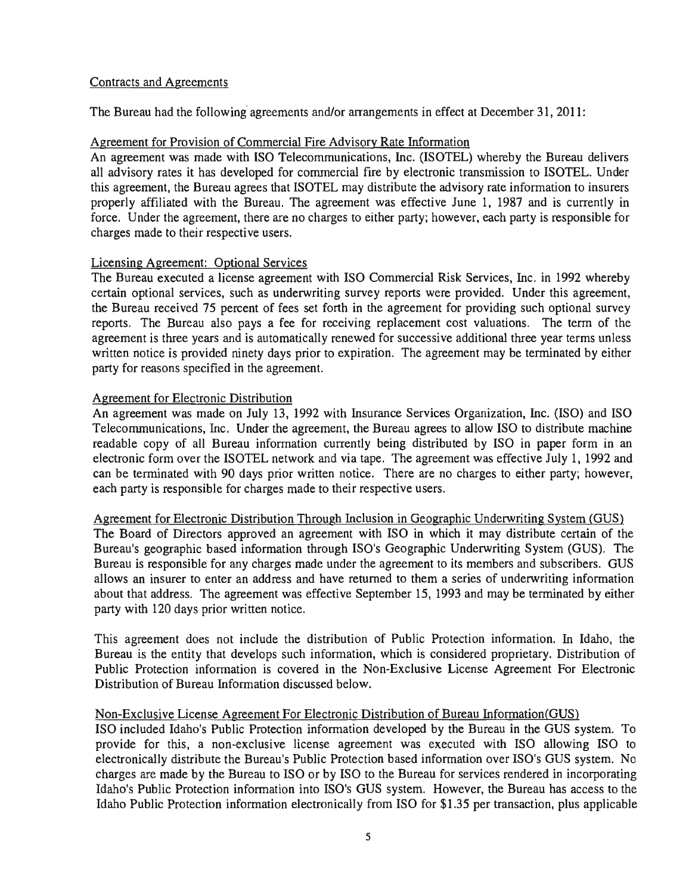## Contracts and Agreements

The Bureau had the following agreements and/or arrangements in effect at December 31, 2011:

## Agreement for Provision of Commercial Fire Advisory Rate Information

An agreement was made with ISO Telecommunications, Inc. (ISOTEL) whereby the Bureau delivers all advisory rates it has developed for commercial fire by electronic transmission to ISOTEL. Under this agreement, the Bureau agrees that ISOTEL may distribute the advisory rate information to insurers properly affiliated with the Bureau. The agreement was effective June 1, 1987 and is currently in force. Under the agreement, there are no charges to either party; however, each party is responsible for charges made to their respective users.

## Licensing Agreement: Optional Services

The Bureau executed a license agreement with ISO Commercial Risk Services, Inc. in 1992 whereby certain optional services, such as underwriting survey reports were provided. Under this agreement, the Bureau received 75 percent of fees set forth in the agreement for providing such optional survey reports. The Bureau also pays a fee for receiving replacement cost valuations. The term of the agreement is three years and is automatically renewed for successive additional three year terms unless written notice is provided ninety days prior to expiration. The agreement may be terminated by either party for reasons specified in the agreement.

## Agreement for Electronic Distribution

An agreement was made on July 13, 1992 with Insurance Services Organization, Inc. (ISO) and ISO Telecommunications, Inc. Under the agreement, the Bureau agrees to allow ISO to distribute machine readable copy of all Bureau information currently being distributed by ISO in paper form in an electronic form over the ISOTEL network and via tape. The agreement was effective July 1, 1992 and can be terminated with 90 days prior written notice. There are no charges to either party; however, each party is responsible for charges made to their respective users.

#### Agreement for Electronic Distribution Through Inclusion in Geographic Underwriting System (GUS)

The Board of Directors approved an agreement with ISO in which it may distribute certain of the Bureau's geographic based information through ISO's Geographic Underwriting System (GUS). The Bureau is responsible for any charges made under the agreement to its members and subscribers. GUS allows an insurer to enter an address and have returned to them a series of underwriting information about that address. The agreement was effective September 15, 1993 and may be terminated by either party with 120 days prior written notice.

This agreement does not include the distribution of Public Protection information. In Idaho, the Bureau is the entity that develops such information, which is considered proprietary. Distribution of Public Protection information is covered in the Non-Exclusive License Agreement For Electronic Distribution of Bureau Information discussed below.

## Non-Exclusive License Agreement For Electronic Distribution of Bureau Information (GUS)

ISO included Idaho's Public Protection information developed by the Bureau in the GUS system. To provide for this, a non-exclusive license agreement was executed with ISO allowing ISO to electronically distribute the Bureau's Public Protection based information over ISO's GUS system. No charges are made by the Bureau to ISO or by ISO to the Bureau for services rendered in incorporating Idaho's Public Protection information into ISO's GUS system. However, the Bureau has access to the Idaho Public Protection information electronically from ISO for \$1.35 per transaction, plus applicable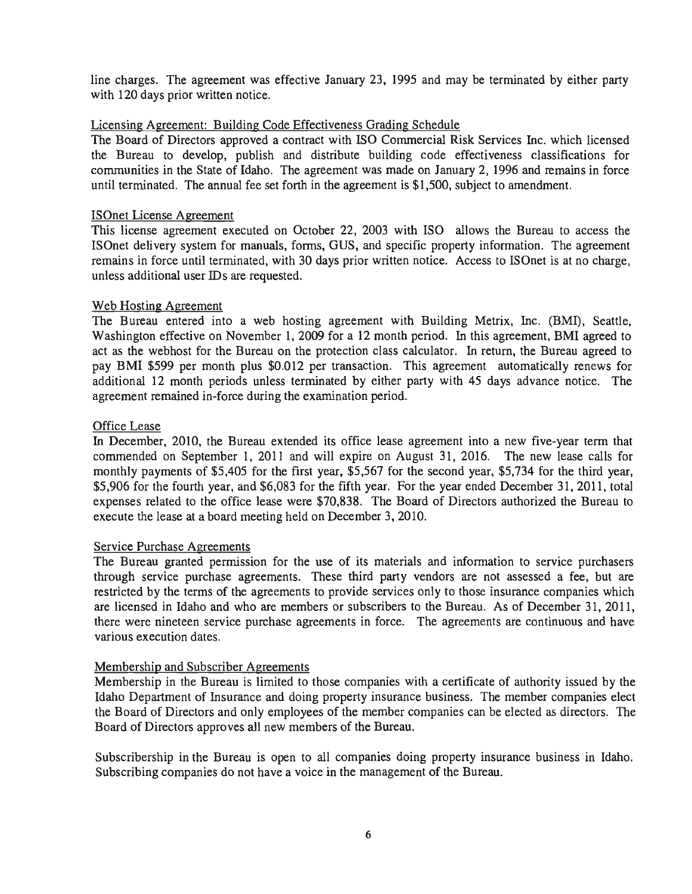line charges. The agreement was effective January 23, 1995 and may be terminated by either party with 120 days prior written notice.

## Licensing Agreement: Building Code Effectiveness Grading Schedule

The Board of Directors approved a contract with ISO Commercial Risk Services Inc. which licensed the Bureau to develop, publish and distribute building code effectiveness classifications for communities in the State of Idaho. The agreement was made on January 2, 1996 and remains in force until terminated. The annual fee set forth in the agreement is \$1,500, subject to amendment.

### ISOnet License Agreement

This license agreement executed on October 22, 2003 with ISO allows the Bureau to access the ISOnet delivery system for manuals, forms, GUS, and specific property information. The agreement remains in force until terminated, with 30 days prior written notice. Access to ISOnet is at no charge, unless additional user IDs are requested.

## Web Hosting Agreement

The Bureau entered into a web hosting agreement with Building Metrix, Inc. (BMI), Seattle, Washington effective on November 1, 2009 for a 12 month period. In this agreement, BMI agreed to act as the webhost for the Bureau on the protection class calculator. In return, the Bureau agreed to pay BMI \$599 per month plus \$0.012 per transaction. This agreement automatically renews for additional 12 month periods unless terminated by either party with 45 days advance notice. The agreement remained in-force during the examination period.

## Office Lease

In December, 2010, the Bureau extended its office lease agreement into a new five-year term that commended on September 1, 2011 and will expire on August 31, 2016. The new lease calls for monthly payments of \$5,405 for the first year, \$5,567 for the second year, \$5,734 for the third year, \$5,906 for the fourth year, and \$6,083 for the fifth year. For the year ended December 31, 2011, total expenses related to the office lease were \$70,838. The Board of Directors authorized the Bureau to execute the lease at a board meeting held on December 3, 2010.

#### Service Purchase Agreements

The Bureau granted permission for the use of its materials and information to service purchasers through service purchase agreements. These third party vendors are not assessed a fee, but are restricted by the terms of the agreements to provide services only to those insurance companies which are licensed in Idaho and who are members or subscribers to the Bureau. As of December 31, 2011, there were nineteen service purchase agreements in force. The agreements are continuous and have various execution dates.

#### Membership and Subscriber Agreements

Membership in the Bureau is limited to those companies with a certificate of authority issued by the Idaho Department of Insurance and doing property insurance business. The member companies elect the Board of Directors and only employees of the member companies can be elected as directors. The Board of Directors approves all new members of the Bureau.

Subscribership in the Bureau is open to all companies doing property insurance business in Idaho. Subscribing companies do not have a voice in the management of the Bureau.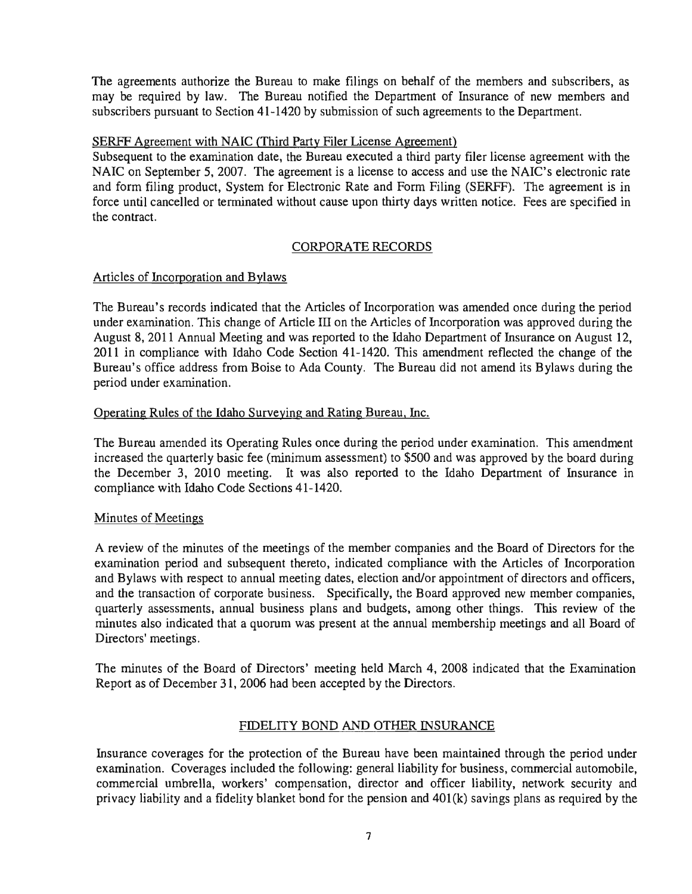The agreements authorize the Bureau to make filings on behalf of the members and subscribers, as may be required by law. The Bureau notified the Department of Insurance of new members and subscribers pursuant to Section 41-1420 by submission of such agreements to the Department.

## SERFF Agreement with NAIC (Third Party Filer License Agreement)

Subsequent to the examination date, the Bureau executed a third party filer license agreement with the NAIC on September 5, 2007. The agreement is a license to access and use the NAIC's electronic rate and form filing product, System for Electronic Rate and Form Filing (SERFF). The agreement is in force until cancelled or terminated without cause upon thirty days written notice. Fees are specified in the contract.

## CORPORATE RECORDS

## Articles of Incorporation and Bylaws

The Bureau's records indicated that the Articles of Incorporation was amended once during the period under examination. This change of Article III on the Articles of Incorporation was approved during the August 8, 2011 Annual Meeting and was reported to the Idaho Department of Insurance on August 12, 2011 in compliance with Idaho Code Section 41-1420. This amendment reflected the change of the Bureau's office address from Boise to Ada County. The Bureau did not amend its Bylaws during the period under examination.

## Operating Rules of the Idaho Surveying and Rating Bureau, Inc.

The Bureau amended its Operating Rules once during the period under examination. This amendment increased the quarterly basic fee (minimum assessment) to \$500 and was approved by the board during the December 3, 2010 meeting. It was also reported to the Idaho Department of Insurance in compliance with Idaho Code Sections 41-1420.

## Minutes of Meetings

A review of the minutes of the meetings of the member companies and the Board of Directors for the examination period and subsequent thereto, indicated compliance with the Articles of Incorporation and Bylaws with respect to annual meeting dates, election and/or appointment of directors and officers, and the transaction of corporate business. Specifically, the Board approved new member companies, quarterly assessments, annual business plans and budgets, among other things. This review of the minutes also indicated that a quorum was present at the annual membership meetings and all Board of Directors'meetings.

The minutes of the Board of Directors' meeting held March 4, 2008 indicated that the Examination Report as of December 31, 2006 had been accepted by the Directors.

## FIDELITY BOND AND OTHER INSURANCE

Insurance coverages for the protection of the Bureau have been maintained through the period under examination. Coverages included the following: general liability for business, commercial automobile, commercial umbrella, workers' compensation, director and officer liability, network security and privacy liability and a fidelity blanket bond for the pension and 401(k) savings plans as required by the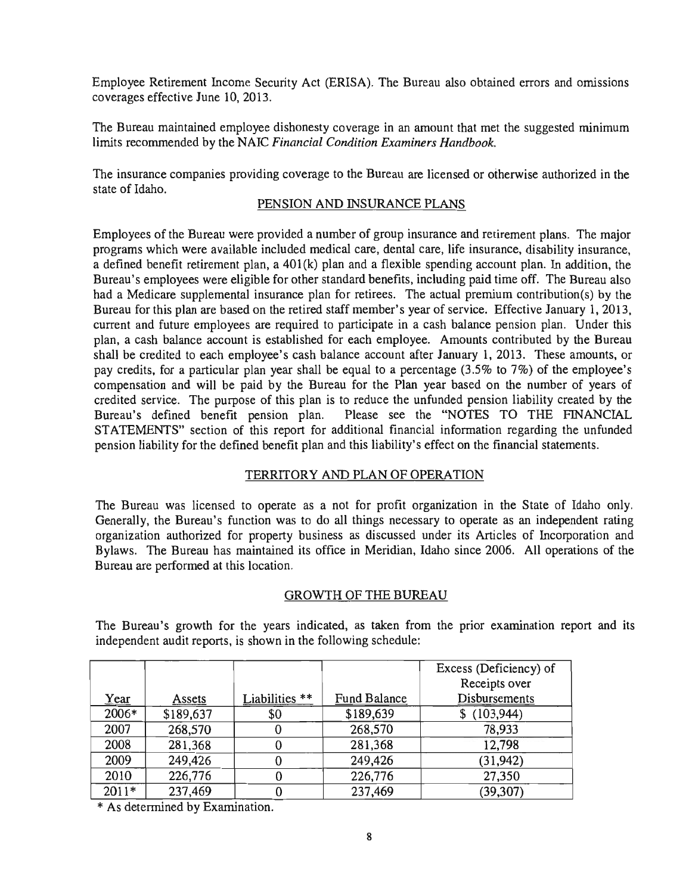Employee Retirement Income Security Act (ERISA). The Bureau also obtained errors and omissions coverages effective June 10,2013.

The Bureau maintained employee dishonesty coverage in an amount that met the suggested minimum limits recommended by the NAIC *Financial Condition Examiners Handbook.* 

The insurance companies providing coverage to the Bureau are licensed or otherwise authorized in the state of Idaho.

## PENSION AND INSURANCE PLANS

Employees of the Bureau were provided a number of group insurance and retirement plans. The major programs which were available included medical care, dental care, life insurance, disability insurance, a defined benefit retirement plan, a 401(k) plan and a flexible spending account plan. In addition, the Bureau's employees were eligible for other standard benefits, including paid time off. The Bureau also had a Medicare supplemental insurance plan for retirees. The actual premium contribution(s) by the Bureau for this plan are based on the retired staff member's year of service. Effective January 1,2013, current and future employees are required to participate in a cash balance pension plan. Under this plan, a cash balance account is established for each employee. Amounts contributed by the Bureau shall be credited to each employee's cash balance account after January 1, 2013. These amounts, or pay credits, for a particular plan year shall be equal to a percentage (3.5% to 7%) of the employee's compensation and will be paid by the Bureau for the Plan year based on the number of years of credited service. The purpose of this plan is to reduce the unfunded pension liability created by the Bureau's defined benefit pension plan. Please see the "NOTES TO THE FINANCIAL STATEMENTS" section of this report for additional financial information regarding the unfunded pension liability for the defined benefit plan and this liability's effect on the financial statements.

## TERRITORY AND PLAN OF OPERATION

The Bureau was licensed to operate as a not for profit organization in the State of Idaho only. Generally, the Bureau's function was to do all things necessary to operate as an independent rating organization authorized for property business as discussed under its Articles of Incorporation and Bylaws. The Bureau has maintained its office in Meridian, Idaho since 2006. All operations of the Bureau are performed at this location.

#### GROWTH OF THE BUREAU

The Bureau's growth for the years indicated, as taken from the prior examination report and its independent audit reports, is shown in the following schedule:

|         |           |                  |              | Excess (Deficiency) of |
|---------|-----------|------------------|--------------|------------------------|
|         |           |                  |              | Receipts over          |
| Year    | Assets    | Liabilities $**$ | Fund Balance | Disbursements          |
| 2006*   | \$189,637 | \$0              | \$189,639    | \$(103,944)            |
| 2007    | 268,570   | υ                | 268,570      | 78,933                 |
| 2008    | 281,368   |                  | 281,368      | 12,798                 |
| 2009    | 249,426   |                  | 249,426      | (31, 942)              |
| 2010    | 226,776   |                  | 226,776      | 27,350                 |
| $2011*$ | 237,469   |                  | 237,469      | (39, 307)              |

\* As determined by Examination.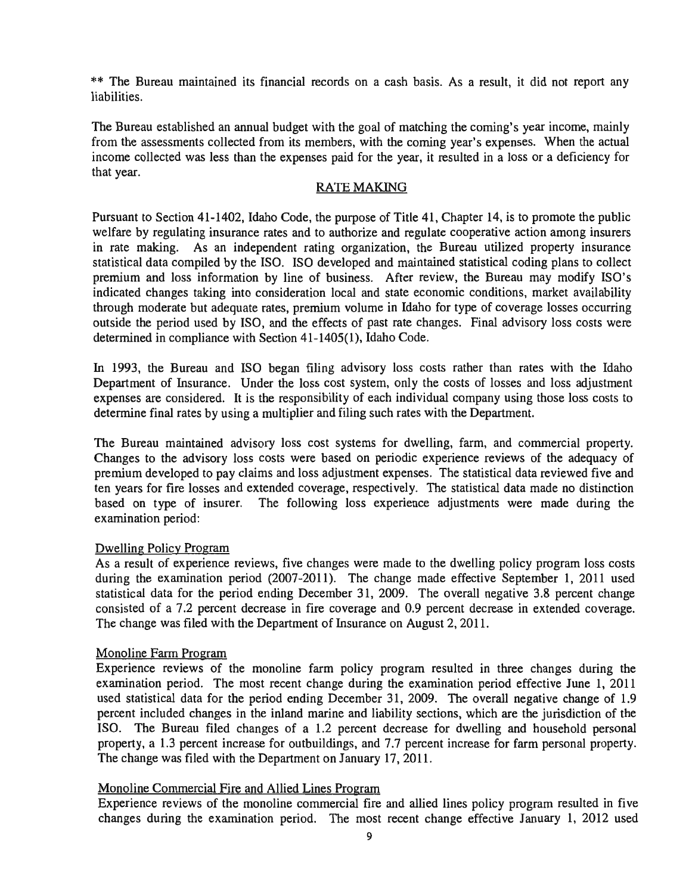\*\* The Bureau maintained its financial records on a cash basis. As a result, it did not report any liabilities.

The Bureau established an annual budget with the goal of matching the coming's year income, mainly from the assessments collected from its members, with the coming year's expenses. When the actual income collected was less than the expenses paid for the year, it resulted in a loss or a deficiency for that year.

#### RATE MAKING

Pursuant to Section 41-1402, Idaho Code, the purpose of Title 41, Chapter 14, is to promote the public welfare by regulating insurance rates and to authorize and regulate cooperative action among insurers in rate making. As an independent rating organization, the Bureau utilized property insurance statistical data compiled by the ISO. ISO developed and maintained statistical coding plans to collect premium and loss information by line of business. After review, the Bureau may modify ISO's indicated changes taking into consideration local and state economic conditions, market availability through moderate but adequate rates, premium volume in Idaho for type of coverage losses occurring outside the period used by ISO, and the effects of past rate changes. Final advisory loss costs were determined in compliance with Section 41-1405(1), Idaho Code.

In 1993, the Bureau and ISO began filing advisory loss costs rather than rates with the Idaho Department of Insurance. Under the loss cost system, only the costs of losses and loss adjustment expenses are considered. It is the responsibility of each individual company using those loss costs to determine final rates by using a multiplier and filing such rates with the Department.

The Bureau maintained advisory loss cost systems for dwelling, farm, and commercial property. Changes to the advisory loss costs were based on periodic experience reviews of the adequacy of premium developed to pay claims and loss adjustment expenses. The statistical data reviewed five and ten years for fire losses and extended coverage, respectively. The statistical data made no distinction based on type of insurer. The following loss experience adjustments were made during the examination period:

#### Dwelling Policy Program

As a result of experience reviews, five changes were made to the dwelling policy program loss costs during the examination period (2007-2011). The change made effective September 1, 2011 used statistical data for the period ending December 31, 2009. The overall negative 3.8 percent change consisted of a 7.2 percent decrease in fire coverage and 0.9 percent decrease in extended coverage. The change was filed with the Department of Insurance on August 2, 2011.

#### Monoline Farm Program

Experience reviews of the monoline farm policy program resulted in three changes during the examination period. The most recent change during the examination period effective June 1, 2011 used statistical data for the period ending December 31, 2009. The overall negative change of 1.9 percent included changes in the inland marine and liability sections, which are the jurisdiction of the ISO. The Bureau filed changes of a 1.2 percent decrease for dwelling and household personal property, a 1.3 percent increase for outbuildings, and 7.7 percent increase for farm personal property. The change was filed with the Department on January 17, 2011.

## Monoline Commercial Fire and Allied Lines Program

Experience reviews of the monoline commercial fire and allied lines policy program resulted in five changes during the examination period. The most recent change effective January 1, 2012 used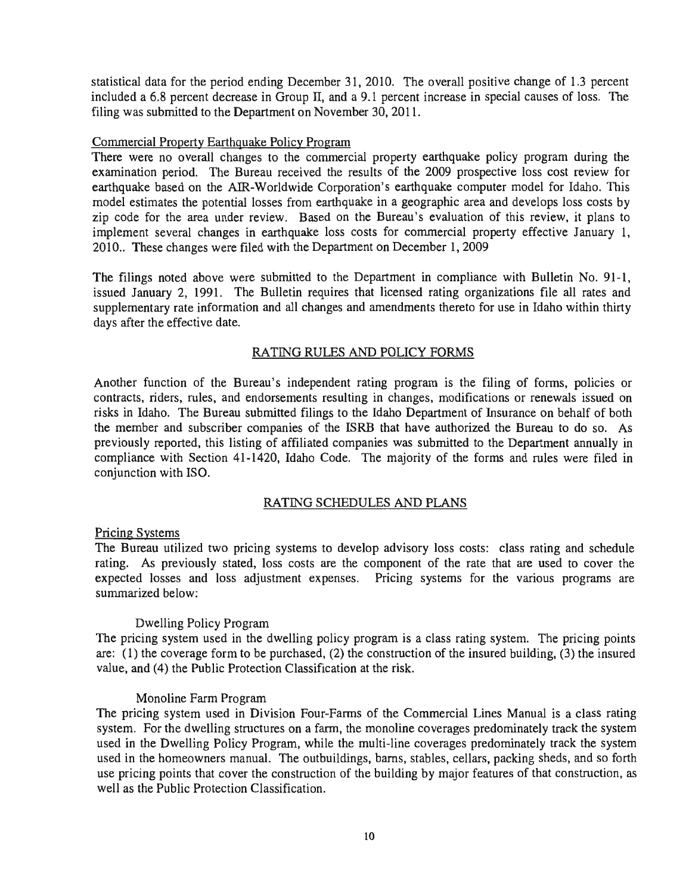statistical data for the period ending December 31, 2010. The overall positive change of 1.3 percent included a 6.8 percent decrease in Group II, and a 9.1 percent increase in special causes of loss. The filing was submitted to the Department on November 30, 2011.

#### Commercial Property Earthquake Policy Program

There were no overall changes to the commercial property earthquake policy program during the examination period. The Bureau received the results of the 2009 prospective loss cost review for earthquake based on the AIR-Worldwide Corporation's earthquake computer model for Idaho. This model estimates the potential losses from earthquake in a geographic area and develops loss costs by zip code for the area under review. Based on the Bureau's evaluation of this review, it plans to implement several changes in earthquake loss costs for commercial property effective January I, 2010.. These changes were filed with the Department on December 1, 2009

The filings noted above were submitted to the Department in compliance with Bulletin No. 91-1, issued January 2, 1991. The Bulletin requires that licensed rating organizations file all rates and supplementary rate information and all changes and amendments thereto for use in Idaho within thirty days after the effective date.

#### RATING RULES AND POLICY FORMS

Another function of the Bureau's independent rating program is the filing of forms, policies or contracts, riders, rules, and endorsements resulting in changes, modifications or renewals issued on risks in Idaho. The Bureau submitted filings to the Idaho Department of Insurance on behalf of both the member and subscriber companies of the ISRB that have authorized the Bureau to do so. As previously reported, this listing of affiliated companies was submitted to the Department annually in compliance with Section 41-1420, Idaho Code. The majority of the forms and rules were filed in conjunction with ISO.

#### RATING SCHEDULES AND PLANS

#### Pricing Systems

The Bureau utilized two pricing systems to develop advisory loss costs: class rating and schedule rating. As previously stated, loss costs are the component of the rate that are used to cover the expected losses and loss adjustment expenses. Pricing systems for the various programs are summarized below:

#### Dwelling Policy Program

The pricing system used in the dwelling policy program is a class rating system. The pricing points are: (1) the coverage form to be purchased, (2) the construction of the insured building, (3) the insured value, and (4) the Public Protection Classification at the risk.

#### Monoline Farm Program

The pricing system used in Division Four-Farms of the Commercial Lines Manual is a class rating system. For the dwelling structures on a farm, the monoline coverages predominately track the system used in the Dwelling Policy Program, while the multi-line coverages predominately track the system used in the homeowners manual. The outbuildings, barns, stables, cellars, packing sheds, and so forth use pricing points that cover the construction of the building by major features of that construction, as well as the Public Protection Classification.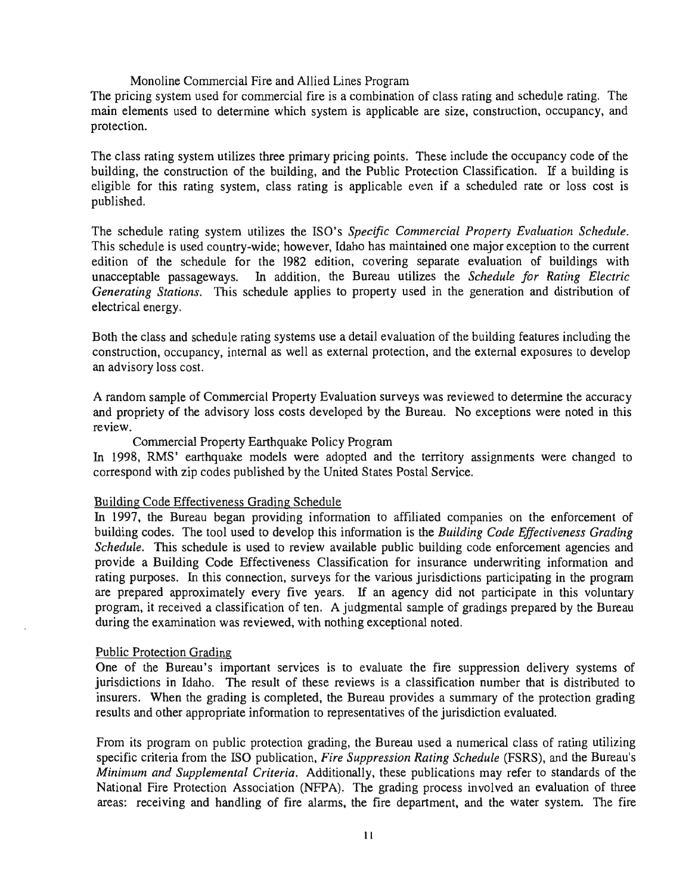#### Monoline Commercial Fire and Allied Lines Program

The pricing system used for commercial fire is a combination of class rating and schedule rating. The main elements used to determine which system is applicable are size, construction, occupancy, and protection.

The class rating system utilizes three primary pricing points. These include the occupancy code of the building, the construction of the building, and the Public Protection Classification. If a building is eligible for this rating system, class rating is applicable even if a scheduled rate or loss cost is published.

The schedule rating system utilizes the ISO's *Specific Commercial Property Evaluation Schedule.*  This schedule is used country-wide; however, Idaho has maintained one major exception to the current edition of the schedule for the 1982 edition, covering separate evaluation of buildings with unacceptable passageways. In addition, the Bureau utilizes the *Schedule for Rating Electric Generating Stations.* This schedule applies to property used in the generation and distribution of electrical energy.

Both the class and schedule rating systems use a detail evaluation of the building features including the construction, occupancy, internal as well as external protection, and the external exposures to develop an advisory loss cost.

A random sample of Commercial Property Evaluation surveys was reviewed to determine the accuracy and propriety of the advisory loss costs developed by the Bureau. No exceptions were noted in this review.

#### Commercial Property Earthquake Policy Program

In 1998, RMS' earthquake models were adopted and the territory assignments were changed to correspond with zip codes published by the United States Postal Service.

#### Building Code Effectiveness Grading Schedule

In 1997, the Bureau began providing information to affiliated companies on the enforcement of building codes. The tool used to develop this information is the *Building Code Effectiveness Grading Schedule.* This schedule is used to review available public building code enforcement agencies and provide a Building Code Effectiveness Classification for insurance underwriting information and rating purposes. In this connection, surveys for the various jurisdictions participating in the program are prepared approximately every five years. If an agency did not participate in this voluntary program, it received a classification of ten. A judgmental sample of gradings prepared by the Bureau during the examination was reviewed, with nothing exceptional noted.

#### Public Protection Grading

One of the Bureau's important services is to evaluate the fire suppression delivery systems of jurisdictions in Idaho. The result of these reviews is a classification number that is distributed to insurers. When the grading is completed, the Bureau provides a summary of the protection grading results and other appropriate information to representatives of the jurisdiction evaluated.

From its program on public protection grading, the Bureau used a numerical class of rating utilizing specific criteria from the ISO publication, *Fire Suppression Rating Schedule* (FSRS), and the Bureau's *Minimum and Supplemental Criteria.* Additionally, these publications may refer to standards of the National Fire Protection Association (NFPA). The grading process involved an evaluation of three areas: receiving and handling of fire alarms, the fire department, and the water system. The fire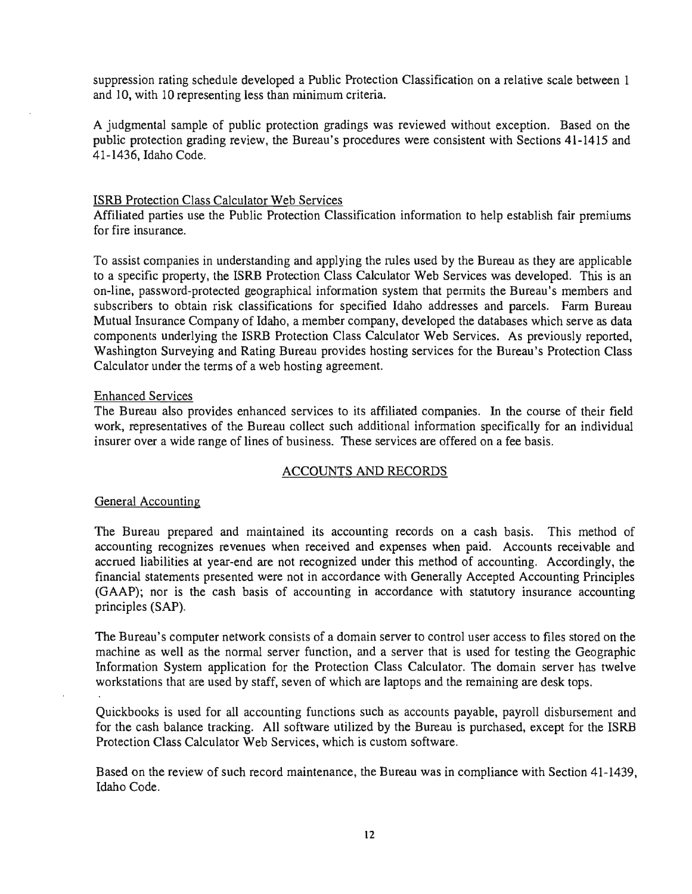suppression rating schedule developed a Public Protection Classification on a relative scale between 1 and 10, with 10 representing less than minimum criteria.

A judgmental sample of public protection gradings was reviewed without exception. Based on the public protection grading review, the Bureau's procedures were consistent with Sections 41-1415 and 41-1436, Idaho Code.

#### ISRB Protection Class Calculator Web Services

Affiliated parties use the Public Protection Classification information to help establish fair premiums for fire insurance.

To assist companies in understanding and applying the rules used by the Bureau as they are applicable to a specific property, the ISRB Protection Class Calculator Web Services was developed. This is an on-line, password-protected geographical information system that permits the Bureau's members and subscribers to obtain risk classifications for specified Idaho addresses and parcels. Farm Bureau Mutual Insurance Company of Idaho, a member company, developed the databases which serve as data components underlying the ISRB Protection Class Calculator Web Services. As previously reported, Washington Surveying and Rating Bureau provides hosting services for the Bureau's Protection Class Calculator under the terms of a web hosting agreement.

#### Enhanced Services

The Bureau also provides enhanced services to its affiliated companies. In the course of their field work, representatives of the Bureau collect such additional information specifically for an individual insurer over a wide range of lines of business. These services are offered on a fee basis.

#### ACCOUNTS AND RECORDS

## General Accounting

The Bureau prepared and maintained its accounting records on a cash basis. This method of accounting recognizes revenues when received and expenses when paid. Accounts receivable and accrued liabilities at year-end are not recognized under this method of accounting. Accordingly, the financial statements presented were not in accordance with Generally Accepted Accounting Principles (GAAP); nor is the cash basis of accounting in accordance with statutory insurance accounting principles (SAP).

The Bureau's computer network consists of a domain server to control user access to files stored on the machine as well as the normal server function, and a server that is used for testing the Geographic Information System application for the Protection Class Calculator. The domain server has twelve workstations that are used by staff, seven of which are laptops and the remaining are desk tops.

Quickbooks is used for all accounting functions such as accounts payable, payroll disbursement and for the cash balance tracking. All software utilized by the Bureau is purchased, except for the ISRB Protection Class Calculator Web Services, which is custom software.

Based on the review of such record maintenance, the Bureau was in compliance with Section 41-1439, Idaho Code.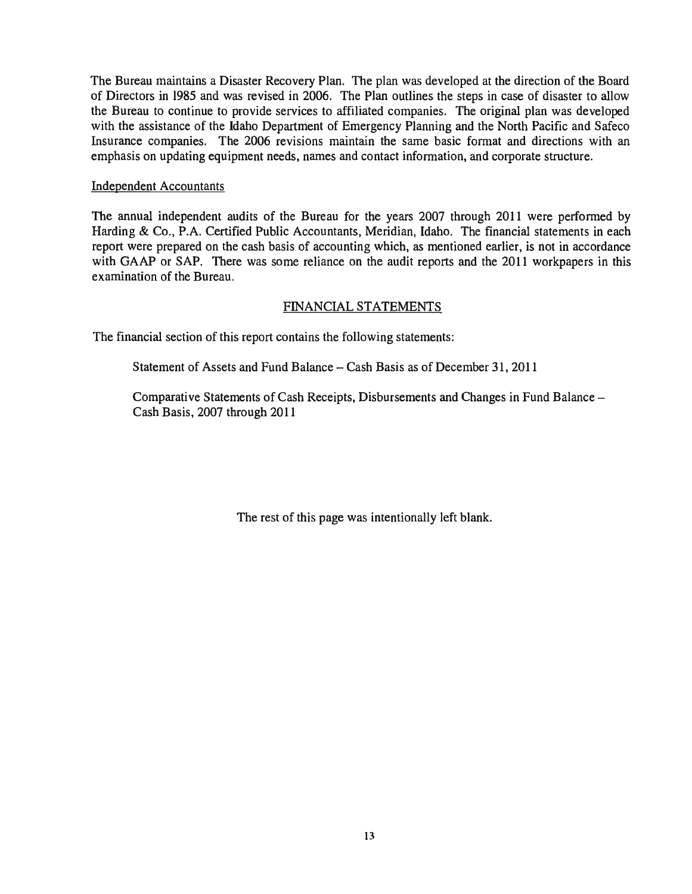The Bureau maintains a Disaster Recovery Plan. The plan was developed at the direction of the Board of Directors in 1985 and was revised in 2006. The Plan outlines the steps in case of disaster to allow the Bureau to continue to provide services to affiliated companies. The original plan was developed with the assistance of the Idaho Department of Emergency Planning and the North Pacific and Safeco Insurance companies. The 2006 revisions maintain the same basic format and directions with an emphasis on updating equipment needs, names and contact information, and corporate structure.

### Independent Accountants

The annual independent audits of the Bureau for the years 2007 through 2011 were performed by Harding & Co., P.A. Certified Public Accountants, Meridian, Idaho. The financial statements in each report were prepared on the cash basis of accounting which, as mentioned earlier, is not in accordance with GAAP or SAP. There was some reliance on the audit reports and the 2011 workpapers in this examination of the Bureau.

## FINANCIAL STATEMENTS

The financial section of this report contains the following statements:

Statement of Assets and Fund Balance - Cash Basis as of December 31, 2011

Comparative Statements of Cash Receipts, Disbursements and Changes in Fund Balance-Cash Basis, 2007 through 2011

The rest of this page was intentionally left blank.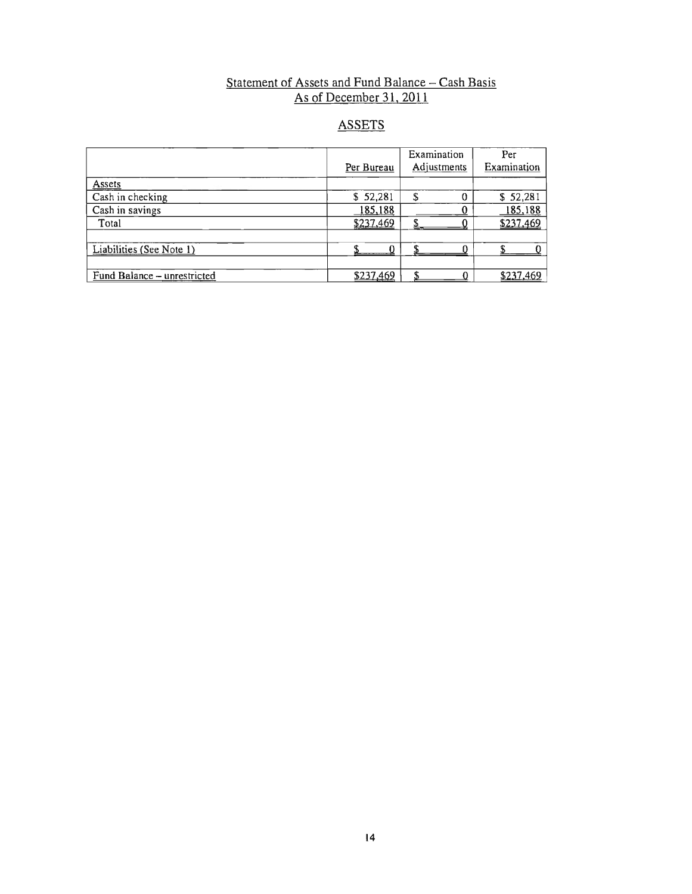## Statement of Assets and Fund Balance  $-$  Cash Basis As of December 31, 2011

## ASSETS

|                             |            | Examination | Per         |
|-----------------------------|------------|-------------|-------------|
|                             | Per Bureau | Adjustments | Examination |
| Assets                      |            |             |             |
| Cash in checking            | \$52,281   |             | \$52,281    |
| Cash in savings             | 185,188    |             | 185,188     |
| Total                       | \$237,469  |             | \$237,469   |
|                             |            |             |             |
| Liabilities (See Note 1)    |            |             |             |
|                             |            |             |             |
| Fund Balance - unrestricted | \$237,469  |             | \$237,469   |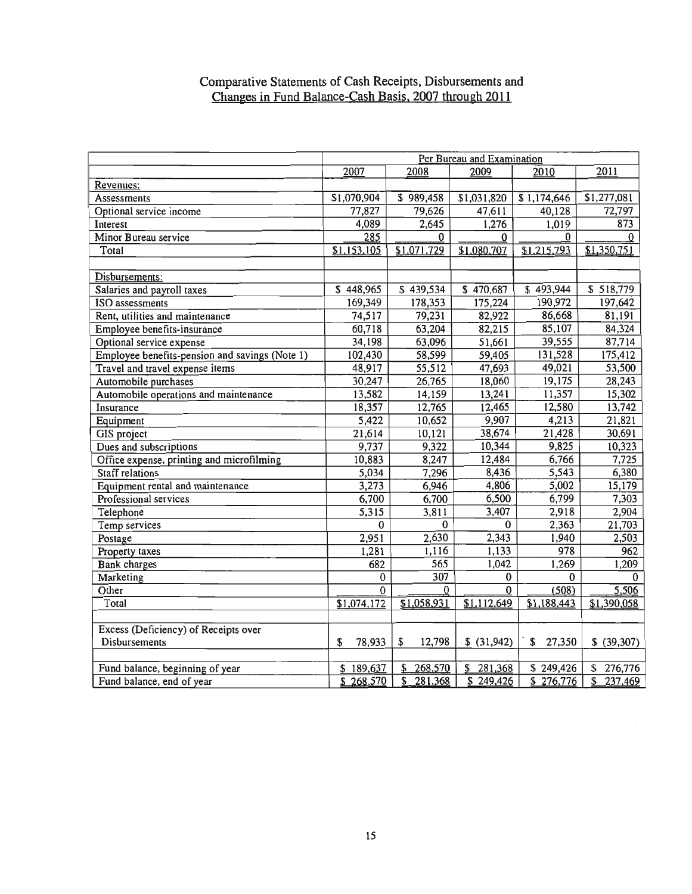### Comparative Statements of Cash Receipts, Disbursements and Changes in Fund Balance-Cash Basis. 2007 through 2011

|                                                | Per Bureau and Examination |               |                |              |              |  |
|------------------------------------------------|----------------------------|---------------|----------------|--------------|--------------|--|
|                                                | 2007                       | 2010          | 2011           |              |              |  |
| Revenues:                                      |                            | 2008          | 2009           |              |              |  |
| Assessments                                    | \$1,070,904                | \$989,458     | \$1,031,820    | \$1,174,646  | \$1,277,081  |  |
| Optional service income                        | 77,827                     | 79,626        | 47,611         | 40,128       | 72,797       |  |
| Interest                                       | 4,089                      | 2,645         | 1,276          | 1,019        | 873          |  |
| Minor Bureau service                           | 285                        | $\bf{0}$      | 0              | $\Omega$     | 0            |  |
| Total                                          | \$1,153,105                | \$1,071,729   | \$1,080,707    | \$1,215,793  | \$1,350,751  |  |
|                                                |                            |               |                |              |              |  |
| Disbursements:                                 |                            |               |                |              |              |  |
| Salaries and payroll taxes                     | \$448,965                  | \$439,534     | \$470,687      | \$493,944    | \$518,779    |  |
| <b>ISO</b> assessments                         | 169,349                    | 178,353       | 175,224        | 190,972      | 197,642      |  |
| Rent, utilities and maintenance                | 74,517                     | 79,231        | 82,922         | 86,668       | 81,191       |  |
| Employee benefits-insurance                    | 60,718                     | 63,204        | 82,215         | 85,107       | 84,324       |  |
| Optional service expense                       | 34,198                     | 63,096        | 51,661         | 39,555       | 87,714       |  |
| Employee benefits-pension and savings (Note 1) | 102,430                    | 58,599        | 59,405         | 131,528      | 175,412      |  |
| Travel and travel expense items                | 48,917                     | 55,512        | 47,693         | 49,021       | 53,500       |  |
| Automobile purchases                           | 30,247                     | 26,765        | 18,060         | 19,175       | 28,243       |  |
| Automobile operations and maintenance          | 13,582                     | 14,159        | 13,241         | 11,357       | 15,302       |  |
| Insurance                                      | 18,357                     | 12,765        | 12,465         | 12,580       | 13,742       |  |
| Equipment                                      | 5,422                      | 10,652        | 9,907          | 4,213        | 21,821       |  |
| GIS project                                    | 21,614                     | 10,121        | 38,674         | 21,428       | 30,691       |  |
| Dues and subscriptions                         | 9,737                      | 9,322         | 10,344         | 9,825        | 10,323       |  |
| Office expense, printing and microfilming      | 10,883                     | 8,247         | 12,484         | 6,766        | 7,725        |  |
| Staff relations                                | 5,034                      | 7,296         | 8,436          | 5,543        | 6,380        |  |
| Equipment rental and maintenance               | 3,273                      | 6,946         | 4,806          | 5,002        | 15,179       |  |
| Professional services                          | 6,700                      | 6,700         | 6,500          | 6,799        | 7,303        |  |
| Telephone                                      | 5,315                      | 3,811         | 3,407          | 2,918        | 2,904        |  |
| Temp services                                  | $\bf{0}$                   | $\bf{0}$      | $\overline{0}$ | 2,363        | 21,703       |  |
| Postage                                        | 2,951                      | 2,630         | 2,343          | 1,940        | 2,503        |  |
| Property taxes                                 | 1,281                      | 1,116         | 1,133          | 978          | 962          |  |
| Bank charges                                   | 682                        | 565           | 1,042          | 1,269        | 1,209        |  |
| Marketing                                      | 0                          | 307           | 0              | $\bf{0}$     | $\Omega$     |  |
| Other                                          | $\Omega$                   | $\bf{0}$      | 0              | (508)        | 5,506        |  |
| Total                                          | \$1,074,172                | \$1,058,931   | \$1,112,649    | \$1,188,443  | \$1,390,058  |  |
|                                                |                            |               |                |              |              |  |
| Excess (Deficiency) of Receipts over           |                            |               |                |              |              |  |
| <b>Disbursements</b>                           | 78,933<br>\$               | 12,798<br>\$  | \$(31,942)     | \$<br>27,350 | \$ (39, 307) |  |
|                                                |                            |               |                |              |              |  |
| Fund balance, beginning of year                | \$189,637                  | 268,570<br>\$ | 281,368<br>\$  | \$249,426    | \$276,776    |  |
| Fund balance, end of year                      | \$268,570                  | \$<br>281,368 | \$249,426      | \$276,776    | \$237,469    |  |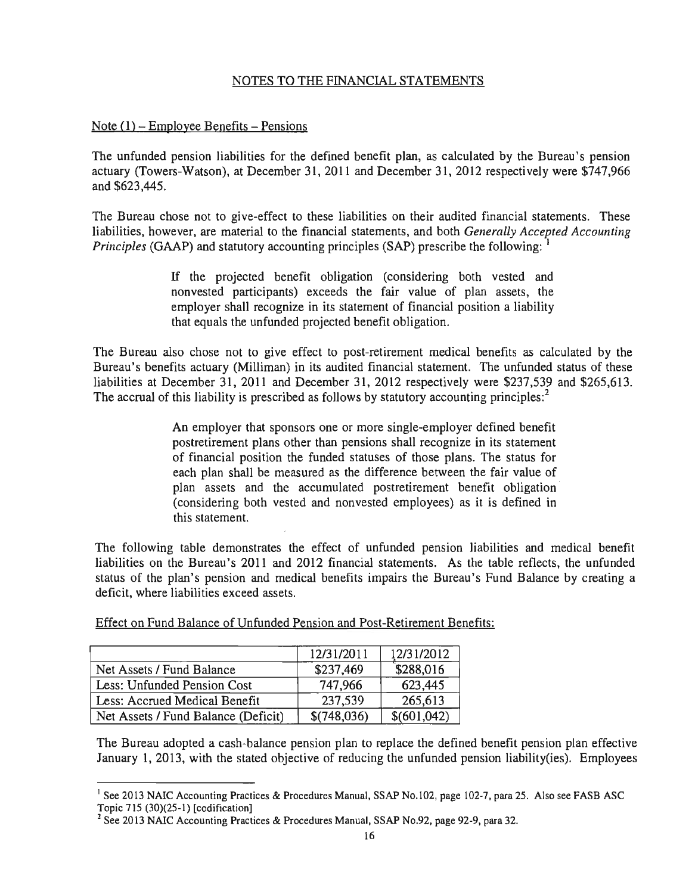## NOTES TO THE FINANCIAL STATEMENTS

## Note  $(1)$  – Employee Benefits – Pensions

The unfunded pension liabilities for the defined benefit plan, as calculated by the Bureau's pension actuary (Towers-Watson), at December 31, 2011 and December 31,2012 respectively were \$747,966 and \$623,445.

The Bureau chose not to give-effect to these liabilities on their audited financial statements. These liabilities, however, are material to the financial statements, and both *Generally Accepted Accounting Principles* (GAAP) and statutory accounting principles (SAP) prescribe the following:

> If the projected benefit obligation (considering both vested and nonvested participants) exceeds the fair value of plan assets, the employer shall recognize in its statement of financial position a liability that equals the unfunded projected benefit obligation.

The Bureau also chose not to give effect to post-retirement medical benefits as calculated by the Bureau's benefits actuary (Milliman) in its audited financial statement. The unfunded status of these liabilities at December 31, 2011 and December 31, 2012 respectively were \$237,539 and \$265,613. The accrual of this liability is prescribed as follows by statutory accounting principles:<sup>2</sup>

> An employer that sponsors one or more single-employer defined benefit postretirement plans other than pensions shall recognize in its statement of financial position the funded statuses of those plans. The status for each plan shall be measured as the difference between the fair value of plan assets and the accumulated postretirement benefit obligation (considering both vested and non vested employees) as it is defined in this statement.

The following table demonstrates the effect of unfunded pension liabilities and medical benefit liabilities on the Bureau's 2011 and 2012 financial statements. As the table reflects, the unfunded status of the plan's pension and medical benefits impairs the Bureau's Fund Balance by creating a deficit, where liabilities exceed assets.

|  |  |  | Effect on Fund Balance of Unfunded Pension and Post-Retirement Benefits: |  |
|--|--|--|--------------------------------------------------------------------------|--|
|  |  |  |                                                                          |  |

|                                     | 12/31/2011  | 12/31/2012  |
|-------------------------------------|-------------|-------------|
| Net Assets / Fund Balance           | \$237,469   | \$288,016   |
| Less: Unfunded Pension Cost         | 747.966     | 623,445     |
| Less: Accrued Medical Benefit       | 237,539     | 265,613     |
| Net Assets / Fund Balance (Deficit) | \$(748,036) | \$(601,042) |

The Bureau adopted a cash-balance pension plan to replace the defined benefit pension plan effective January 1, 2013, with the stated objective of reducing the unfunded pension liability(ies). Employees

<sup>&</sup>lt;sup>1</sup> See 2013 NAIC Accounting Practices & Procedures Manual, SSAP No.102, page 102-7, para 25. Also see FASB ASC Topic 715 (30)(25-1) [codification]

<sup>2</sup> See 2013 NAIC Accounting Practices & Procedures Manual, SSAP No.92, page 92-9, para 32.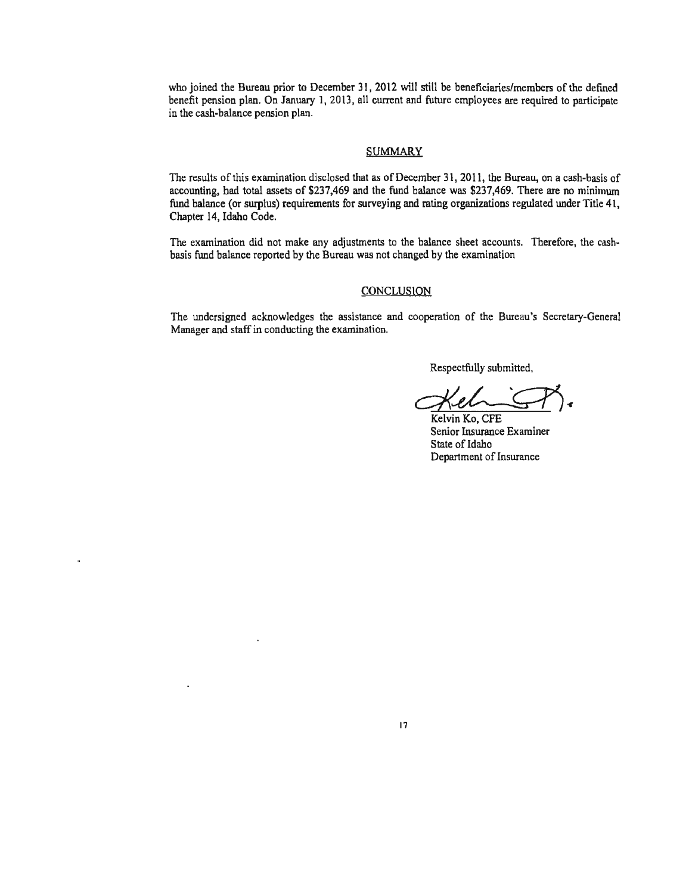who joined the Bureau prior to December 31, 2012 will still be beneficiaries/members of the defined benefit pension plan. On January 1,2013, all current and future employees are required to participate in the cash-balance pension plan.

#### **SUMMARY**

The results of this examination disclosed that as of December 31, 2011, the Bureau, on a cash-basis of accounting, bad total assets of \$237,469 and the fund balance was \$237,469. There are no minimum fund balance (or surplus) requirements for surveying and rating organizations regulated under Title 41, Chapter 14, Idaho Code.

The examination did not make any adjustments to the balance sheet accounts. Therefore, the cashbasis fund balance reported by the Bureau was not changed by the examination

#### **CONCLUSION**

The undersigned acknowledges the assistance and cooperation of the Bureau's Secretary-General Manager and staff in conducting the examination.

Respectfully submitted,

 $~$ Respectfully submitted,<br> $\left(\bigtimes_{\text{Kelvin Ko, CFE}} \bigotimes_{\bullet} \bigotimes_{\bullet}$ 

Senior Insurance Examiner State of Idaho Department of Insurance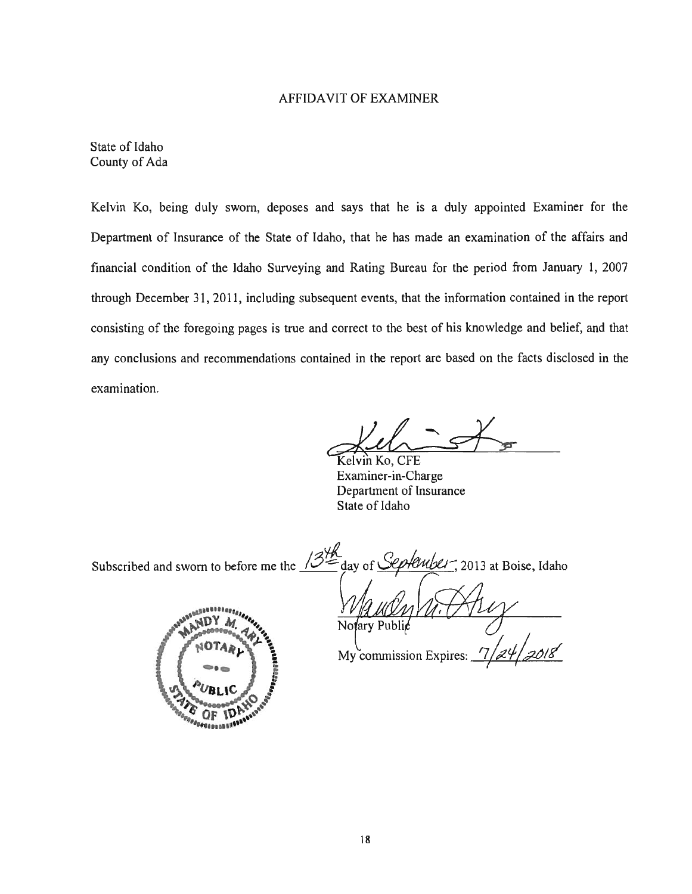### AFFIDA VII OF EXAMINER

State of Idaho County of Ada

Kelvin Ko, being duly sworn, deposes and says that he is a duly appointed Examiner for the Department of Insurance of the State of Idaho, that he has made an examination of the affairs and financial condition of the Idaho Surveying and Rating Bureau for the period from January 1, 2007 through December 31, 2011, including subsequent events, that the information contained in the report consisting of the foregoing pages is true and correct to the best of his knowledge and belief, and that any conclusions and recommendations contained in the report are based on the facts disclosed in the examination.

 $d$  -  $\rightarrow$ 

Examiner-in-Charge Department of Insurance State of Idaho

Subscribed and sworn to before me the  $\frac{348}{5}$ eplember, 2013 at Boise, Idaho day of  $\mathcal{S}$  $0.088880$ Notary Publić My commission Expires:

1D OF **CORRESPONDED**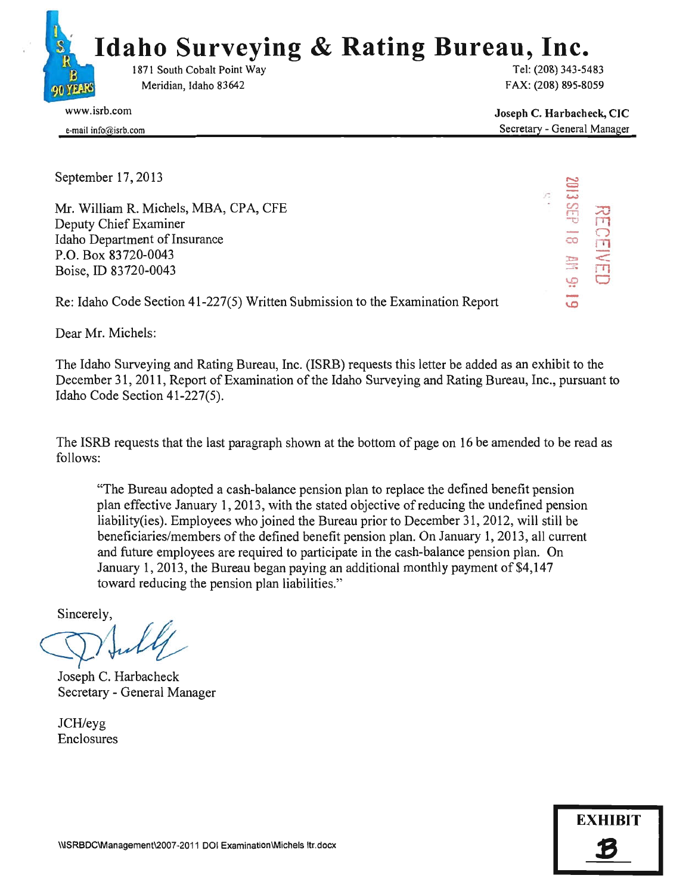

Joseph C. Harbacheck, CIC Secretary - General Manager

 $\tilde{}$ 

ans ene<br>Sels es

co <sup>I</sup> EIVE<br>EIVE

'!? 0

 $\overline{\circ}$ 

C)

e-mail info@isrh.com

September 17, 2013

Mr. William R. Michels, MBA, CPA, CFE Deputy Chief Examiner Idaho Department of Insurance P.O. Box 83720-0043 Boise, ID 83720-0043

Re: Idaho Code Section 41-227(5) Written Submission to the Examination Report

Dear Mr. Michels:

The Idaho Surveying and Rating Bureau, Inc. (ISRB) requests this letter be added as an exhibit to the December 31, 2011, Report of Examination of the Idaho Surveying and Rating Bureau, Inc., pursuant to Idaho Code Section 41-227(5).

The ISRB requests that the last paragraph shown at the bottom of page on 16 be amended to be read as follows:

"The Bureau adopted a cash-balance pension plan to replace the defined benefit pension plan effective January 1, 2013, with the stated objective of reducing the undefined pension liability(ies). Employees who joined the Bureau prior to December 31, 2012, will still be beneficiaries/members of the defined benefit pension plan. On January 1,2013, all current and future employees are required to participate in the cash-balance pension plan. On January 1, 2013, the Bureau began paying an additional monthly payment of  $$4,147$ toward reducing the pension plan liabilities." and future employees are required to partici<br>January 1, 2013, the Bureau began paying a<br>toward reducing the pension plan liabilities.<br>Sincerely,<br>Joseph C. Harbacheck<br>Secretary - General Manager

Secretary - General Manager

JCH/eyg Enclosures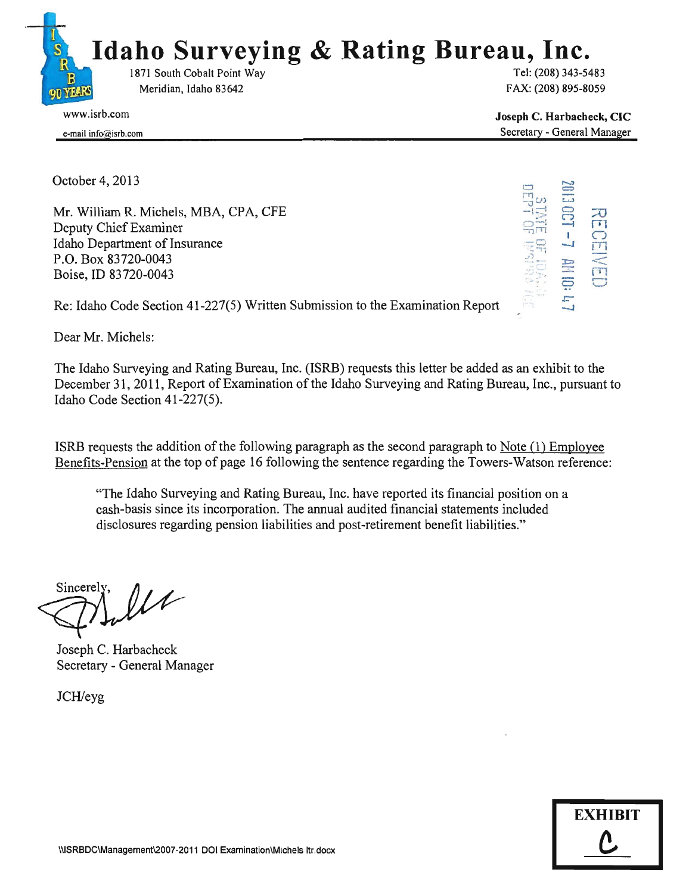

e-mail info@isrb.com

Joseph C. Harbacheck, CIC Secretary - General Manager

October 4,2013

Mr. William R. Michels, MBA, CPA, CFE Deputy Chief Examiner Idaho Department of Insurance P.O. Box 83720-0043 Boise, ID 83720-0043



Re: Idaho Code Section 41-227(5) Written Submission to the Examination Report

Dear Mr. Michels:

The Idaho Surveying and Rating Bureau, Inc. (lSRB) requests this letter be added as an exhibit to the December 31, 2011, Report of Examination of the Idaho Surveying and Rating Bureau, Inc., pursuant to Idaho Code Section 41-227(5).

ISRB requests the addition of the following paragraph as the second paragraph to Note  $(1)$  Employee Benefits-Pension at the top of page 16 following the sentence regarding the Towers-Watson reference:

"The Idaho Surveying and Rating Bureau, Inc. have reported its financial position on a cash-basis since its incorporation. The annual audited financial statements included disclosures regarding pension liabilities and post-retirement benefit liabilities."

 $\mu$ Sincerely.

Joseph C. Harbacheck Secretary - General Manager

JCHleyg

| <b>EXHIBIT</b>    |  |
|-------------------|--|
| $\mathbf{\Omega}$ |  |